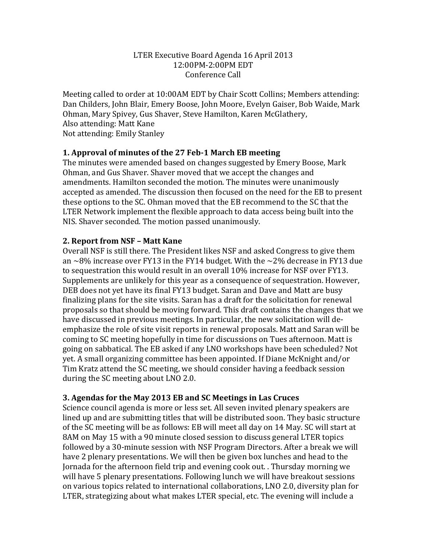#### LTER Executive Board Agenda 16 April 2013 12:00PM-2:00PM EDT Conference Call

Meeting called to order at 10:00AM EDT by Chair Scott Collins; Members attending: Dan Childers, John Blair, Emery Boose, John Moore, Evelyn Gaiser, Bob Waide, Mark Ohman, Mary Spivey, Gus Shaver, Steve Hamilton, Karen McGlathery, Also attending: Matt Kane Not attending: Emily Stanley

### **1. Approval of minutes of the 27 Feb-1 March EB meeting**

The minutes were amended based on changes suggested by Emery Boose, Mark Ohman, and Gus Shaver. Shaver moved that we accept the changes and amendments. Hamilton seconded the motion. The minutes were unanimously accepted as amended. The discussion then focused on the need for the EB to present these options to the SC. Ohman moved that the EB recommend to the SC that the LTER Network implement the flexible approach to data access being built into the NIS. Shaver seconded. The motion passed unanimously.

#### **2. Report from NSF – Matt Kane**

Overall NSF is still there. The President likes NSF and asked Congress to give them an  $\sim$ 8% increase over FY13 in the FY14 budget. With the  $\sim$ 2% decrease in FY13 due to sequestration this would result in an overall 10% increase for NSF over FY13. Supplements are unlikely for this year as a consequence of sequestration. However, DEB does not yet have its final FY13 budget. Saran and Dave and Matt are busy finalizing plans for the site visits. Saran has a draft for the solicitation for renewal proposals so that should be moving forward. This draft contains the changes that we have discussed in previous meetings. In particular, the new solicitation will deemphasize the role of site visit reports in renewal proposals. Matt and Saran will be coming to SC meeting hopefully in time for discussions on Tues afternoon. Matt is going on sabbatical. The EB asked if any LNO workshops have been scheduled? Not yet. A small organizing committee has been appointed. If Diane McKnight and/or Tim Kratz attend the SC meeting, we should consider having a feedback session during the SC meeting about LNO 2.0.

#### **3. Agendas for the May 2013 EB and SC Meetings in Las Cruces**

Science council agenda is more or less set. All seven invited plenary speakers are lined up and are submitting titles that will be distributed soon. They basic structure of the SC meeting will be as follows: EB will meet all day on 14 May. SC will start at 8AM on May 15 with a 90 minute closed session to discuss general LTER topics followed by a 30-minute session with NSF Program Directors. After a break we will have 2 plenary presentations. We will then be given box lunches and head to the Jornada for the afternoon field trip and evening cook out. Thursday morning we will have 5 plenary presentations. Following lunch we will have breakout sessions on various topics related to international collaborations, LNO 2.0, diversity plan for LTER, strategizing about what makes LTER special, etc. The evening will include a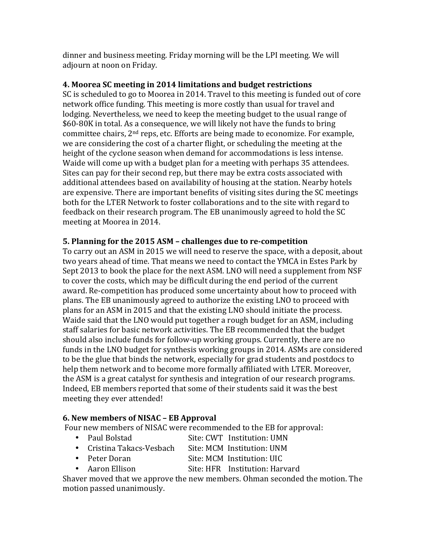dinner and business meeting. Friday morning will be the LPI meeting. We will adjourn at noon on Friday.

## **4. Moorea SC meeting in 2014 limitations and budget restrictions**

SC is scheduled to go to Moorea in 2014. Travel to this meeting is funded out of core network office funding. This meeting is more costly than usual for travel and lodging. Nevertheless, we need to keep the meeting budget to the usual range of \$60-80K in total. As a consequence, we will likely not have the funds to bring committee chairs,  $2<sup>nd</sup>$  reps, etc. Efforts are being made to economize. For example, we are considering the cost of a charter flight, or scheduling the meeting at the height of the cyclone season when demand for accommodations is less intense. Waide will come up with a budget plan for a meeting with perhaps 35 attendees. Sites can pay for their second rep, but there may be extra costs associated with additional attendees based on availability of housing at the station. Nearby hotels are expensive. There are important benefits of visiting sites during the SC meetings both for the LTER Network to foster collaborations and to the site with regard to feedback on their research program. The EB unanimously agreed to hold the SC meeting at Moorea in 2014.

# **5. Planning for the 2015 ASM – challenges due to re-competition**

To carry out an ASM in 2015 we will need to reserve the space, with a deposit, about two years ahead of time. That means we need to contact the YMCA in Estes Park by Sept 2013 to book the place for the next ASM. LNO will need a supplement from NSF to cover the costs, which may be difficult during the end period of the current award. Re-competition has produced some uncertainty about how to proceed with plans. The EB unanimously agreed to authorize the existing LNO to proceed with plans for an ASM in 2015 and that the existing LNO should initiate the process. Waide said that the LNO would put together a rough budget for an ASM, including staff salaries for basic network activities. The EB recommended that the budget should also include funds for follow-up working groups. Currently, there are no funds in the LNO budget for synthesis working groups in 2014. ASMs are considered to be the glue that binds the network, especially for grad students and postdocs to help them network and to become more formally affiliated with LTER. Moreover, the ASM is a great catalyst for synthesis and integration of our research programs. Indeed, EB members reported that some of their students said it was the best meeting they ever attended!

## **6. New members of NISAC – EB Approval**

Four new members of NISAC were recommended to the EB for approval:

- Paul Bolstad Site: CWT Institution: UMN
- Cristina Takacs-Vesbach Site: MCM Institution: UNM
- Peter Doran Site: MCM Institution: UIC
- Aaron Ellison Site: HFR Institution: Harvard

Shaver moved that we approve the new members. Ohman seconded the motion. The motion passed unanimously.